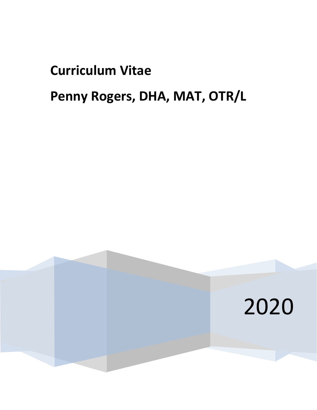# **Curriculum Vitae**

## **Penny Rogers, DHA, MAT, OTR/L**

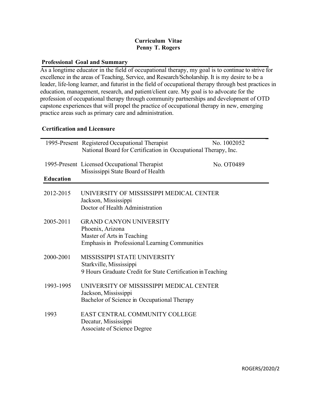#### **Curriculum Vitae Penny T. Rogers**

#### **Professional Goal and Summary**

As a longtime educator in the field of occupational therapy, my goal is to continue to strive for excellence in the areas of Teaching, Service, and Research/Scholarship. It is my desire to be a leader, life-long learner, and futurist in the field of occupational therapy through best practices in education, management, research, and patient/client care. My goal is to advocate for the profession of occupational therapy through community partnerships and development of OTD capstone experiences that will propel the practice of occupational therapy in new, emerging practice areas such as primary care and administration.

#### **Certification and Licensure**

|                  | 1995-Present Registered Occupational Therapist                 | No. 1002052 |
|------------------|----------------------------------------------------------------|-------------|
|                  | National Board for Certification in Occupational Therapy, Inc. |             |
|                  |                                                                |             |
|                  |                                                                |             |
|                  | 1995-Present Licensed Occupational Therapist                   | No. OT0489  |
|                  | Mississippi State Board of Health                              |             |
| <b>Education</b> |                                                                |             |
|                  |                                                                |             |
| 2012-2015        | UNIVERSITY OF MISSISSIPPI MEDICAL CENTER                       |             |
|                  | Jackson, Mississippi                                           |             |
|                  | Doctor of Health Administration                                |             |
|                  |                                                                |             |
|                  |                                                                |             |
| 2005-2011        | <b>GRAND CANYON UNIVERSITY</b>                                 |             |
|                  | Phoenix, Arizona                                               |             |
|                  | Master of Arts in Teaching                                     |             |
|                  | <b>Emphasis in Professional Learning Communities</b>           |             |
|                  |                                                                |             |
| 2000-2001        | MISSISSIPPI STATE UNIVERSITY                                   |             |
|                  | Starkville, Mississippi                                        |             |
|                  | 9 Hours Graduate Credit for State Certification in Teaching    |             |
|                  |                                                                |             |
| 1993-1995        | UNIVERSITY OF MISSISSIPPI MEDICAL CENTER                       |             |
|                  |                                                                |             |
|                  | Jackson, Mississippi                                           |             |
|                  | Bachelor of Science in Occupational Therapy                    |             |
|                  |                                                                |             |
| 1993             | EAST CENTRAL COMMUNITY COLLEGE                                 |             |
|                  | Decatur, Mississippi                                           |             |
|                  | Associate of Science Degree                                    |             |
|                  |                                                                |             |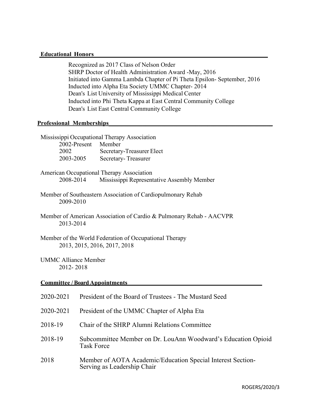#### **Educational Honors**

Recognized as 2017 Class of Nelson Order SHRP Doctor of Health Administration Award -May, 2016 Initiated into Gamma Lambda Chapter of Pi Theta Epsilon- September, 2016 Inducted into Alpha Eta Society UMMC Chapter- 2014 Dean's List University of Mississippi Medical Center Inducted into Phi Theta Kappa at East Central Community College Dean's List East Central Community College

#### **Professional Memberships\_\_\_\_\_\_\_\_\_\_\_\_\_\_\_\_\_\_\_\_\_\_\_\_\_\_\_\_\_\_\_\_\_\_\_\_\_\_\_\_\_\_\_\_\_\_\_\_\_\_\_\_\_**

|                                          | Mississippi Occupational Therapy Association                                               |  |
|------------------------------------------|--------------------------------------------------------------------------------------------|--|
| 2002-Present                             | Member                                                                                     |  |
| 2002                                     | Secretary-Treasurer Elect                                                                  |  |
| 2003-2005                                | Secretary-Treasurer                                                                        |  |
|                                          | American Occupational Therapy Association                                                  |  |
| 2008-2014                                | Mississippi Representative Assembly Member                                                 |  |
| 2009-2010                                | Member of Southeastern Association of Cardiopulmonary Rehab                                |  |
| 2013-2014                                | Member of American Association of Cardio & Pulmonary Rehab - AACVPR                        |  |
|                                          | Member of the World Federation of Occupational Therapy<br>2013, 2015, 2016, 2017, 2018     |  |
| <b>UMMC Alliance Member</b><br>2012-2018 |                                                                                            |  |
|                                          | <b>Committee / Board Appointments</b>                                                      |  |
| 2020-2021                                | President of the Board of Trustees - The Mustard Seed                                      |  |
| 2020-2021                                | President of the UMMC Chapter of Alpha Eta                                                 |  |
| 2018-19                                  | Chair of the SHRP Alumni Relations Committee                                               |  |
| 2018-19                                  | Subcommittee Member on Dr. LouAnn Woodward's Education Opioid<br><b>Task Force</b>         |  |
| 2018                                     | Member of AOTA Academic/Education Special Interest Section-<br>Serving as Leadership Chair |  |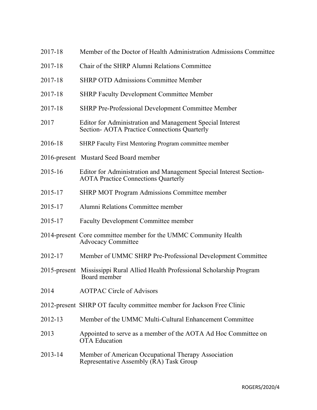| 2017-18         | Member of the Doctor of Health Administration Admissions Committee                                               |
|-----------------|------------------------------------------------------------------------------------------------------------------|
| 2017-18         | Chair of the SHRP Alumni Relations Committee                                                                     |
| 2017-18         | <b>SHRP OTD Admissions Committee Member</b>                                                                      |
| 2017-18         | <b>SHRP Faculty Development Committee Member</b>                                                                 |
| 2017-18         | <b>SHRP Pre-Professional Development Committee Member</b>                                                        |
| 2017            | Editor for Administration and Management Special Interest<br>Section- AOTA Practice Connections Quarterly        |
| 2016-18         | SHRP Faculty First Mentoring Program committee member                                                            |
|                 | 2016-present Mustard Seed Board member                                                                           |
| 2015-16         | Editor for Administration and Management Special Interest Section-<br><b>AOTA Practice Connections Quarterly</b> |
| 2015-17         | <b>SHRP MOT Program Admissions Committee member</b>                                                              |
| 2015-17         | Alumni Relations Committee member                                                                                |
| 2015-17         | <b>Faculty Development Committee member</b>                                                                      |
|                 | 2014-present Core committee member for the UMMC Community Health<br><b>Advocacy Committee</b>                    |
| 2012-17         | Member of UMMC SHRP Pre-Professional Development Committee                                                       |
| $2015$ -present | Mississippi Rural Allied Health Professional Scholarship Program<br>Board member                                 |
| 2014            | <b>AOTPAC Circle of Advisors</b>                                                                                 |
|                 | 2012-present SHRP OT faculty committee member for Jackson Free Clinic                                            |
| 2012-13         | Member of the UMMC Multi-Cultural Enhancement Committee                                                          |
| 2013            | Appointed to serve as a member of the AOTA Ad Hoc Committee on<br><b>OTA</b> Education                           |
| 2013-14         | Member of American Occupational Therapy Association<br>Representative Assembly (RA) Task Group                   |
|                 |                                                                                                                  |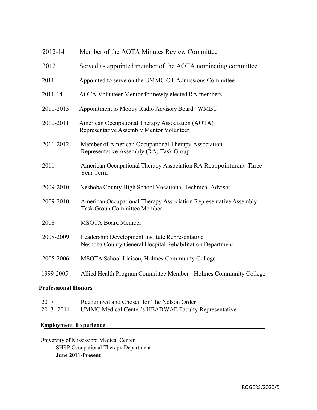| 2012-14   | Member of the AOTA Minutes Review Committee                                                                  |
|-----------|--------------------------------------------------------------------------------------------------------------|
| 2012      | Served as appointed member of the AOTA nominating committee                                                  |
| 2011      | Appointed to serve on the UMMC OT Admissions Committee                                                       |
| 2011-14   | AOTA Volunteer Mentor for newly elected RA members                                                           |
| 2011-2015 | Appointment to Moody Radio Advisory Board-WMBU                                                               |
| 2010-2011 | American Occupational Therapy Association (AOTA)<br>Representative Assembly Mentor Volunteer                 |
| 2011-2012 | Member of American Occupational Therapy Association<br>Representative Assembly (RA) Task Group               |
| 2011      | American Occupational Therapy Association RA Reappointment-Three<br>Year Term                                |
| 2009-2010 | Neshoba County High School Vocational Technical Advisor                                                      |
| 2009-2010 | American Occupational Therapy Association Representative Assembly<br><b>Task Group Committee Member</b>      |
| 2008      | <b>MSOTA Board Member</b>                                                                                    |
| 2008-2009 | Leadership Development Institute Representative<br>Neshoba County General Hospital Rehabilitation Department |
| 2005-2006 | MSOTA School Liaison, Holmes Community College                                                               |
| 1999-2005 | Allied Health Program Committee Member - Holmes Community College                                            |
|           |                                                                                                              |

#### **Professional Honors\_\_\_\_\_\_\_\_\_\_\_\_\_\_\_\_\_\_\_\_\_\_\_\_\_\_\_\_\_\_\_\_\_\_\_\_\_\_\_\_\_\_\_\_\_\_\_\_\_\_\_\_\_\_\_**

| 2017      | Recognized and Chosen for The Nelson Order                  |
|-----------|-------------------------------------------------------------|
| 2013-2014 | <b>UMMC Medical Center's HEADWAE Faculty Representative</b> |

#### **Employment Experience\_\_\_\_\_**

University of Mississippi Medical Center SHRP Occupational Therapy Department **June 2011-Present**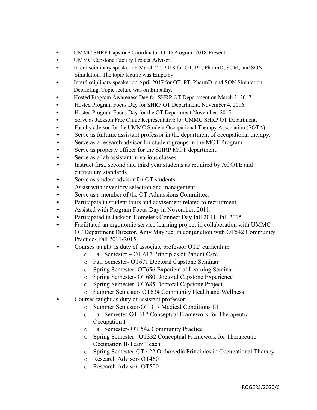- •UMMC SHRP Capstone Coordinator-OTD Program 2018-Present
- UMMC Capstone Faculty Project Advisor
- Interdisciplinary speaker on March 22, 2018 for OT, PT, PharmD, SOM, and SON Simulation. The topic lecture was Empathy.
- •Interdisciplinary speaker on April 2017 for OT, PT, PharmD, and SON Simulation Debriefing. Topic lecture was on Empathy.
- •Hosted Program Awareness Day for SHRP OT Department on March 3, 2017.
- Hosted Program Focus Day for SHRP OT Department, November 4, 2016.
- Hosted Program Focus Day for the OT Department November, 2015.
- Serve as Jackson Free Clinic Representative for UMMC SHRP OT Department.
- Faculty advisor for the UMMC Student Occupational Therapy Association (SOTA).
- Serve as fulltime assistant professor in the department of occupational therapy.
- Serve as a research advisor for student groups in the MOT Program.
- Serve as property officer for the SHRP MOT department.
- Serve as a lab assistant in various classes.
- Instruct first, second and third year students as required by ACOTE and curriculum standards.
- Serve as student advisor for OT students.
- Assist with inventory selection and management.
- Serve as a member of the OT Admissions Committee.
- Participate in student tours and advisement related to recruitment.
- Assisted with Program Focus Day in November, 2011.
- Participated in Jackson Homeless Connect Day fall 2011- fall 2015.
- Facilitated an ergonomic service learning project in collaboration with UMMC OT Department Director, Amy Mayhue, in conjunction with OT542 Community Practice- Fall 2011-2015.
- Courses taught as duty of associate professor OTD curriculum
	- o Fall Semester OT 617 Principles of Patient Care
	- o Fall Semester- OT671 Doctoral Capstone Seminar
	- o Spring Semester- OT656 Experiential Learning Seminar
	- o Spring Semester- OT680 Doctoral Capstone Experience
	- o Spring Semester- OT685 Doctoral Capstone Project
	- o Summer Semester- OT634 Community Health and Wellness
- Courses taught as duty of assistant professor
	- o Summer Semester-OT 317 Medical Conditions III
	- o Fall Semester-OT 312 Conceptual Framework for Therapeutic Occupation I
	- o Fall Semester- OT 542 Community Practice
	- o Spring Semester –OT332 Conceptual Framework for Therapeutic Occupation II-Team Teach
	- o Spring Semester-OT 422 Orthopedic Principles in Occupational Therapy
	- o Research Advisor- OT460
	- o Research Advisor- OT500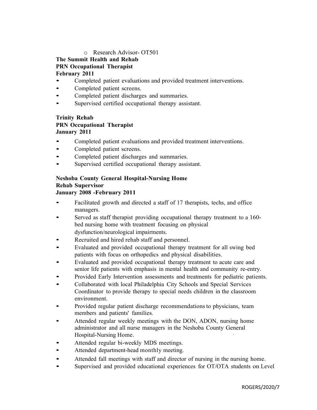#### o Research Advisor- OT501

### **The Summit Health and Rehab**

#### **PRN Occupational Therapist**

#### **February 2011**

- Completed patient evaluations and provided treatment interventions.
- Completed patient screens.
- Completed patient discharges and summaries.
- Supervised certified occupational therapy assistant.

#### **Trinity Rehab PRN Occupational Therapist January 2011**

- Completed patient evaluations and provided treatment interventions.
- Completed patient screens.
- Completed patient discharges and summaries.
- Supervised certified occupational therapy assistant.

#### **Neshoba County General Hospital-Nursing Home Rehab Supervisor January 2008 -February 2011**

- Facilitated growth and directed a staff of 17 therapists, techs, and office managers.
- Served as staff therapist providing occupational therapy treatment to <sup>a</sup> 160 bed nursing home with treatment focusing on physical dysfunction/neurological impairments.
- Recruited and hired rehab staff and personnel.
- Evaluated and provided occupational therapy treatment for all swing bed patients with focus on orthopedics and physical disabilities.
- Evaluated and provided occupational therapy treatment to acute care and senior life patients with emphasis in mental health and community re-entry.
- Provided Early Intervention assessments and treatments for pediatric patients.
- Collaborated with local Philadelphia City Schools and Special Services Coordinator to provide therapy to special needs children in the classroom environment.
- Provided regular patient discharge recommendations to physicians, team members and patients' families.
- Attended regular weekly meetings with the DON, ADON, nursing home administrator and all nurse managers in the Neshoba County General Hospital-Nursing Home. ·
- Attended regular bi-weekly MDS meetings.
- Attended department-head monthly meeting.
- Attended fall meetings with staff and director of nursing in the nursing home.
- Supervised and provided educational experiences for OT/OTA students on Level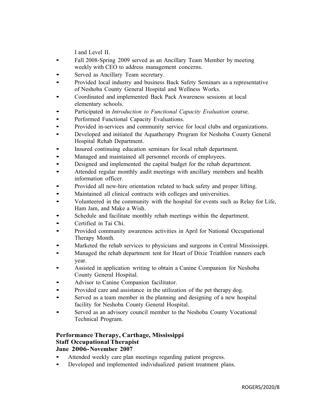I and Level II.

- Fall 2008-Spring <sup>2009</sup> served as an Ancillary Team Member by meeting weekly with CEO to address management concerns.
- Served as Ancillary Team secretary.
- Provided local industry and business Back Safety Seminars as <sup>a</sup> representative of Neshoba County General Hospital and Wellness Works.
- Coordinated and implemented Back Pack Awareness sessions at local elementary schools.
- Participated in *Introduction to Functional Capacity Evaluation* course.
- Performed Functional Capacity Evaluations.
- Provided in-services and community service for local clubs and organizations.
- Developed and initiated the Aquatherapy Program for Neshoba County General Hospital Rehab Department.
- Insured continuing education seminars for local rehab department.
- Managed and maintained all personnel records of employees.
- Designed and implemented the capital budget for the rehab department.
- Attended regular monthly audit meetings with ancillary members and health information officer.
- Provided all new-hire orientation related to back safety and proper lifting.
- Maintained all clinical contracts with colleges and universities.
- Volunteered in the community with the hospital for events such as Relay for Life, Ham Jam, and Make a Wish.
- Schedule and facilitate monthly rehab meetings within the department.
- Certified in Tai Chi.
- Provided community awareness activities in April for National Occupational Therapy Month.
- Marketed the rehab services to physicians and surgeons in Central Mississippi.
- Managed the rehab department tent for Heart of Dixie Triathlon runners each year.
- Assisted in application writing to obtain <sup>a</sup> Canine Companion for Neshoba County General Hospital.
- Advisor to Canine Companion facilitator.
- Provided care and assistance in the utilization of the pet therapy dog.
- Served as a team member in the planning and designing of a new hospital facility for Neshoba County General Hospital.
- Served as an advisory council member to the Neshoba County Vocational Technical Program.

#### **Performance Therapy, Carthage, Mississippi Staff Occupational Therapist June 2006-November 2007**

- Attended weekly care plan meetings regarding patient progress.
- Developed and implemented individualized patient treatment plans.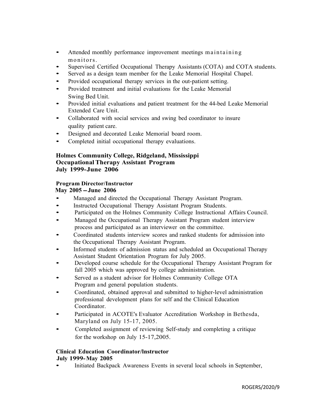- Attended monthly performance improvement meetings maintaining monitors.
- Supervised Certified Occupational Therapy Assistants (COTA) and COTA students.
- Served as a design team member for the Leake Memorial Hospital Chapel.
- Provided occupational therapy services in the out-patient setting.
- Provided treatment and initial evaluations for the Leake Memorial Swing Bed Unit.
- Provided initial evaluations and patient treatment for the 44-bed Leake Memorial Extended Care Unit.
- Collaborated with social services and swing bed coordinator to insure quality patient care.
- Designed and decorated Leake Memorial board room.
- Completed initial occupational therapy evaluations.

#### **Holmes Community College, Ridgeland, Mississippi Occupational Therapy Assistant Program July 1999-June 2006**

#### **Program Director/Instructor**

**May <sup>2005</sup> -June <sup>2006</sup>**

- Managed and directed the Occupational Therapy Assistant Program.
- Instructed Occupational Therapy Assistant Program Students.
- Participated on the Holmes Community College Instructional Affairs Council.
- Managed the Occupational Therapy Assistant Program student interview process and participated as an interviewer on the committee.
- Coordinated students interview scores and ranked students for admission into the Occupational Therapy Assistant Program.
- Informed students of admission status and scheduled an Occupational Therapy Assistant Student Orientation Program for July 2005.
- Developed course schedule for the Occupational Therapy Assistant Program for fall 2005 which was approved by college administration.
- Served as a student advisor for Holmes Community College OTA Program and general population students.
- Coordinated, obtained approval and submitted to higher-level administration professional development plans for self and the Clinical Education Coordinator.
- Participated in ACOTE's Evaluator Accreditation Workshop in Bethesda, Maryland on July 15-17, 2005.
- Completed assignment of reviewing Self-study and completing <sup>a</sup> critique for the workshop on July 15-17,2005.

#### **Clinical Education Coordinator/lnstructor July 1999-May 2005**

• Initiated Backpack Awareness Events in several local schools in September,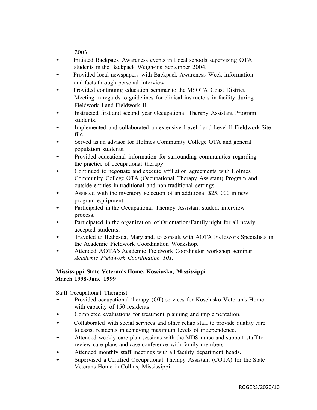2003.

- Initiated Backpack Awareness events in Local schools supervising OTA students in the Backpack Weigh-ins September 2004.
- Provided local newspapers with Backpack Awareness Week information and facts through personal interview.
- Provided continuing education seminar to the MSOTA Coast District Meeting in regards to guidelines for clinical instructors in facility during Fieldwork I and Fieldwork II.
- Instructed first and second year Occupational Therapy Assistant Program students.
- Implemented and collaborated an extensive Level <sup>I</sup> and Level II Fieldwork Site file.
- Served as an advisor for Holmes Community College OTA and general population students.
- Provided educational information for surrounding communities regarding the practice of occupational therapy.
- Continued to negotiate and execute affiliation agreements with Holmes Community College OTA (Occupational Therapy Assistant) Program and outside entities in traditional and non-traditional settings.
- Assisted with the inventory selection of an additional \$25, <sup>000</sup> in new program equipment.
- Participated in the Occupational Therapy Assistant student interview process.
- Participated in the organization of Orientation/Family night for all newly accepted students.
- Traveled to Bethesda, Maryland, to consult with AOTA Fieldwork Specialists in the Academic Fieldwork Coordination Workshop.
- Attended AOTA's Academic Fieldwork Coordinator workshop seminar *Academic Fieldwork Coordination 101.*

#### **Mississippi State Veteran's Home, Kosciusko, Mississippi March 1998-June 1999**

Staff Occupational Therapist

- Provided occupational therapy (OT) services for Kosciusko Veteran's Home with capacity of 150 residents.
- Completed evaluations for treatment planning and implementation.
- Collaborated with social services and other rehab staff to provide quality care to assist residents in achieving maximum levels of independence.
- Attended weekly care plan sessions with the MDS nurse and support staff to review care plans and case conference with family members.
- Attended monthly staff meetings with all facility department heads.
- Supervised a Certified Occupational Therapy Assistant (COTA) for the State Veterans Home in Collins, Mississippi.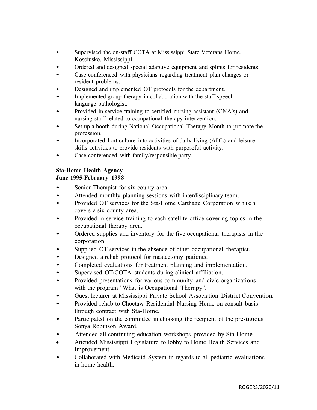- Supervised the on-staff COTA at Mississippi State Veterans Home, Kosciusko, Mississippi.
- Ordered and designed special adaptive equipment and splints for residents.
- Case conferenced with physicians regarding treatment plan changes or resident problems.
- Designed and implemented OT protocols for the department.
- Implemented group therapy in collaboration with the staff speech language pathologist.
- Provided in-service training to certified nursing assistant (CNA's) and nursing staff related to occupational therapy intervention.
- Set up a booth during National Occupational Therapy Month to promote the profession.
- Incorporated horticulture into activities of daily living (ADL) and leisure skills activities to provide residents with purposeful activity.
- Case conferenced with family/responsible party.

#### **Sta-Home Health Agency**

#### **June 1995-February 1998**

- Senior Therapist for six county area.
- Attended monthly planning sessions with interdisciplinary team.
- Provided OT services for the Sta-Home Carthage Corporation which covers a six county area.
- Provided in-service training to each satellite office covering topics in the occupational therapy area.
- Ordered supplies and inventory for the five occupational therapists in the corporation.
- Supplied OT services in the absence of other occupational therapist.
- Designed a rehab protocol for mastectomy patients.
- Completed evaluations for treatment planning and implementation.
- Supervised OT/COTA students during clinical affiliation.
- Provided presentations for various community and civic organizations with the program "What is Occupational Therapy".
- Guest lecturer at Mississippi Private School Association District Convention.
- Provided rehab to Choctaw Residential Nursing Home on consult basis through contract with Sta-Home.
- Participated on the committee in choosing the recipient of the prestigious Sonya Robinson Award.
- Attended all continuing education workshops provided by Sta-Home.
- Attended Mississippi Legislature to lobby to Home Health Services and Improvement.
- Collaborated with Medicaid System in regards to all pediatric evaluations in home health.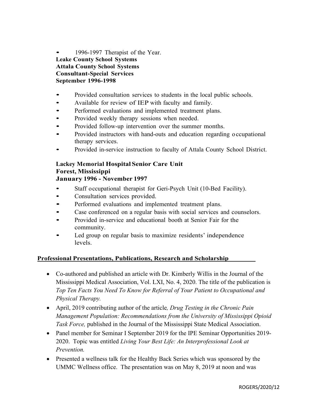1996-1997 Therapist of the Year. **Leake County School Systems Attala County School Systems Consultant-Special Services September 1996-1998**

- Provided consultation services to students in the local public schools.
- Available for review of IEP with faculty and family.
- Performed evaluations and implemented treatment plans.
- Provided weekly therapy sessions when needed.
- Provided follow-up intervention over the summer months.
- Provided instructors with hand-outs and education regarding <sup>o</sup> ccupational therapy services.
- Provided in-service instruction to faculty of Attala County School District.

#### **Lackey Memorial Hospital Senior Care Unit Forest, Mississippi January 1996 - November 1997**

- Staff occupational therapist for Geri-Psych Unit (10-Bed Facility).
- Consultation services provided.
- Performed evaluations and implemented treatment plans.
- Case conferenced on <sup>a</sup> regular basis with social services and counselors.
- Provided in-service and educational booth at Senior Fair for the community.
- Led group on regular basis to maximize residents' independence levels.

#### **Professional Presentations, Publications, Research and Scholarship\_\_\_\_\_\_\_\_**

- Co-authored and published an article with Dr. Kimberly Willis in the Journal of the Mississippi Medical Association, Vol. LXI, No. 4, 2020. The title of the publication is *Top Ten Facts You Need To Know for Referral of Your Patient to Occupational and Physical Therapy.*
- April, 2019 contributing author of the article*, Drug Testing in the Chronic Pain Management Population: Recommendations from the University of Mississippi Opioid Task Force,* published in the Journal of the Mississippi State Medical Association.
- Panel member for Seminar I September 2019 for the IPE Seminar Opportunities 2019- 2020. Topic was entitled *Living Your Best Life: An Interprofessional Look at Prevention.*
- Presented a wellness talk for the Healthy Back Series which was sponsored by the UMMC Wellness office.The presentation was on May 8, 2019 at noon and was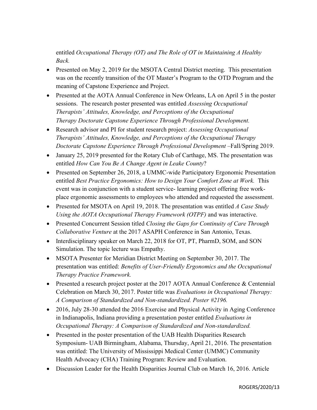entitled *Occupational Therapy (OT) and The Role of OT in Maintaining A Healthy Back.*

- Presented on May 2, 2019 for the MSOTA Central District meeting. This presentation was on the recently transition of the OT Master's Program to the OTD Program and the meaning of Capstone Experience and Project.
- Presented at the AOTA Annual Conference in New Orleans, LA on April 5 in the poster sessions. The research poster presented was entitled *Assessing Occupational Therapists' Attitudes, Knowledge, and Perceptions of the Occupational Therapy Doctorate Capstone Experience Through Professional Development.*
- Research advisor and PI for student research project: *Assessing Occupational Therapists' Attitudes, Knowledge, and Perceptions of the Occupational Therapy Doctorate Capstone Experience Through Professional Development* –Fall/Spring 2019.
- January 25, 2019 presented for the Rotary Club of Carthage, MS. The presentation was entitled *How Can You Be A Change Agent in Leake County*?
- Presented on September 26, 2018, a UMMC-wide Participatory Ergonomic Presentation entitled *Best Practice Ergonomics: How to Design Your Comfort Zone at Work.* This event was in conjunction with a student service- learning project offering free workplace ergonomic assessments to employees who attended and requested the assessment.
- Presented for MSOTA on April 19, 2018. The presentation was entitled *A Case Study Using the AOTA Occupational Therapy Framework (OTPF)* and was interactive.
- Presented Concurrent Session titled *Closing the Gaps for Continuity of Care Through Collaborative Venture* at the 2017 ASAPH Conference in San Antonio, Texas.
- Interdisciplinary speaker on March 22, 2018 for OT, PT, PharmD, SOM, and SON Simulation. The topic lecture was Empathy.
- MSOTA Presenter for Meridian District Meeting on September 30, 2017. The presentation was entitled: *Benefits of User-Friendly Ergonomics and the Occupational Therapy Practice Framework.*
- Presented a research project poster at the 2017 AOTA Annual Conference & Centennial Celebration on March 30, 2017. Poster title was *Evaluations in Occupational Therapy: A Comparison of Standardized and Non-standardized. Poster #2196.*
- 2016, July 28-30 attended the 2016 Exercise and Physical Activity in Aging Conference in Indianapolis, Indiana providing a presentation poster entitled *Evaluations in Occupational Therapy: A Comparison of Standardized and Non-standardized.*
- Presented in the poster presentation of the UAB Health Disparities Research Symposium- UAB Birmingham, Alabama, Thursday, April 21, 2016. The presentation was entitled: The University of Mississippi Medical Center (UMMC) Community Health Advocacy (CHA) Training Program: Review and Evaluation.
- Discussion Leader for the Health Disparities Journal Club on March 16, 2016. Article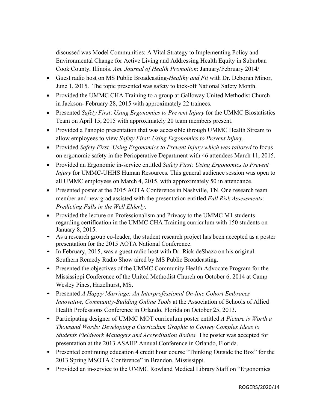discussed was Model Communities: A Vital Strategy to Implementing Policy and Environmental Change for Active Living and Addressing Health Equity in Suburban Cook County, Illinois. *Am. Journal of Health Promotion*: January/February 2014/

- Guest radio host on MS Public Broadcasting-*Healthy and Fit* with Dr. Deborah Minor, June 1, 2015. The topic presented was safety to kick-off National Safety Month.
- Provided the UMMC CHA Training to a group at Galloway United Methodist Church in Jackson- February 28, 2015 with approximately 22 trainees.
- Presented *Safety First*: *Using Ergonomics to Prevent Injury* for the UMMC Biostatistics Team on April 15, 2015 with approximately 20 team members present.
- Provided a Panopto presentation that was accessible through UMMC Health Stream to allow employees to view *Safety First: Using Ergonomics to Prevent Injury.*
- Provided *Safety First: Using Ergonomics to Prevent Injury which was tailored* to focus on ergonomic safety in the Perioperative Department with 46 attendees March 11, 2015.
- Provided an Ergonomic in-service entitled *Safety First: Using Ergonomics to Prevent Injury* for UMMC-UHHS Human Resources. This general audience session was open to all UMMC employees on March 4, 2015, with approximately 50 in attendance.
- Presented poster at the 2015 AOTA Conference in Nashville, TN. One research team member and new grad assisted with the presentation entitled *Fall Risk Assessments: Predicting Falls in the Well Elderly*.
- Provided the lecture on Professionalism and Privacy to the UMMC M1 students regarding certification in the UMMC CHA Training curriculum with 150 students on January 8, 2015.
- As a research group co-leader, the student research project has been accepted as a poster presentation for the 2015 AOTA National Conference.
- In February, 2015, was a guest radio host with Dr. Rick deShazo on his original Southern Remedy Radio Show aired by MS Public Broadcasting.
- Presented the objectives of the UMMC Community Health Advocate Program for the Mississippi Conference of the United Methodist Church on October 6, 2014 at Camp Wesley Pines, Hazelhurst, MS.
- Presented *A Happy Marriage: An Interprofessional On-line Cohort Embraces Innovative, Community-Building Online Tools* at the Association of Schools of Allied Health Professions Conference in Orlando, Florida on October 25, 2013.
- Participating designer of UMMC MOT curriculum poster entitled *A Picture is Worth a Thousand Words: Developing a Curriculum Graphic to Convey Complex Ideas to Students Fieldwork Managers and Accreditation Bodies.* The poster was accepted for presentation at the 2013 ASAHP Annual Conference in Orlando, Florida.
- Presented continuing education 4 credit hour course "Thinking Outside the Box" for the 2013 Spring MSOTA Conference" in Brandon, Mississippi.
- Provided an in-service to the UMMC Rowland Medical Library Staff on "Ergonomics"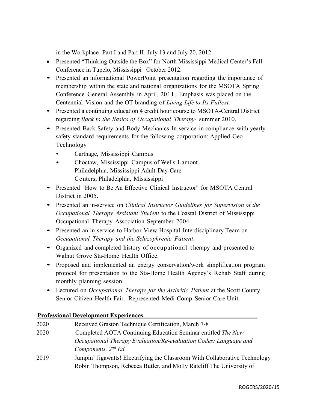in the Workplace- Part I and Part II- July 13 and July 20, 2012.

- Presented "Thinking Outside the Box" for North Mississippi Medical Center's Fall Conference in Tupelo, Mississippi –October 2012.
- Presented an informational PowerPoint presentation regarding the importance of membership within the state and national organizations for the MSOTA Spring Conference General Assembly in April, 2011. Emphasis was placed on the Centennial Vision and the OT branding of *Living Life to Its Fullest.*
- Presented a continuing education 4 credit hour course to MSOTA-Central District regarding *Back to the Basics of Occupational Therapy-* summer 2010.
- Presented Back Safety and Body Mechanics In-service in compliance with yearly safety standard requirements for the following corporation: Applied Geo Technology
	- Carthage, Mississippi Campus
	- Choctaw, Mississippi Campus of Wells Lamont, Philadelphia, Mississippi Adult Day Care Centers, Philadelphia, Mississippi
- Presented "How to Be An Effective Clinical Instructor" for MSOTA Central District in 2005.
- Presented an in-service on *Clinical Instructor Guidelines for Supervision of the Occupational Therapy Assistant Student* to the Coastal District of Mississippi Occupational Therapy Association September 2004.
- Presented an in-service to Harbor View Hospital Interdisciplinary Team on *Occupational Therapy and the Schizophrenic Patient*.
- Organized and completed history of occupational <sup>t</sup> herapy and presented to Walnut Grove Sta-Home Health Office.
- Proposed and implemented an energy conservation/work simplification program protocol for presentation to the Sta-Home Health Agency's Rehab Staff during monthly planning session.
- Lectured on *Occupational Therapy for the Arthritic Patient* at the Scott County Senior Citizen Health Fair. Represented Medi-Comp Senior Care Unit.

#### **Professional Development Experiences**

| 2020 | Received Graston Technique Certification, March 7-8                         |
|------|-----------------------------------------------------------------------------|
| 2020 | Completed AOTA Continuing Education Seminar entitled The New                |
|      | Occupational Therapy Evaluation/Re-evaluation Codes: Language and           |
|      | Components, $2^{nd} Ed$ .                                                   |
| 2019 | Jumpin' Jigawatts! Electrifying the Classroom With Collaborative Technology |
|      | Robin Thompson, Rebecca Butler, and Molly Ratcliff The University of        |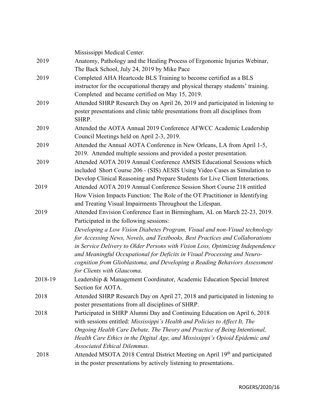|         | Mississippi Medical Center.                                                      |
|---------|----------------------------------------------------------------------------------|
| 2019    | Anatomy, Pathology and the Healing Process of Ergonomic Injuries Webinar,        |
|         | The Back School, July 24, 2019 by Mike Pace                                      |
| 2019    | Completed AHA Heartcode BLS Training to become certified as a BLS                |
|         | instructor for the occupational therapy and physical therapy students' training. |
|         | Completed and became certified on May 15, 2019.                                  |
| 2019    | Attended SHRP Research Day on April 26, 2019 and participated in listening to    |
|         | poster presentations and clinic table presentations from all disciplines from    |
|         | SHRP.                                                                            |
| 2019    | Attended the AOTA Annual 2019 Conference AFWCC Academic Leadership               |
|         | Council Meetings held on April 2-3, 2019.                                        |
| 2019    | Attended the Annual AOTA Conference in New Orleans, LA from April 1-5,           |
|         | 2019. Attended multiple sessions and provided a poster presentation.             |
| 2019    | Attended AOTA 2019 Annual Conference AMSIS Educational Sessions which            |
|         | included Short Course 206 - (SIS) AESIS Using Video Cases as Simulation to       |
|         | Develop Clinical Reasoning and Prepare Students for Live Client Interactions.    |
| 2019    | Attended AOTA 2019 Annual Conference Session Short Course 218 entitled           |
|         | How Vision Impacts Function: The Role of the OT Practitioner in Identifying      |
|         | and Treating Visual Impairments Throughout the Lifespan.                         |
| 2019    | Attended Envision Conference East in Birmingham, AL on March 22-23, 2019.        |
|         | Participated in the following sessions:                                          |
|         | Developing a Low Vision Diabetes Program, Visual and non-Visual technology       |
|         | for Accessing News, Novels, and Textbooks, Best Practices and Collaborations     |
|         | in Service Delivery to Older Persons with Vision Loss, Optimizing Independence   |
|         | and Meaningful Occupational for Deficits in Visual Processing and Neuro-         |
|         | cognition from Glioblastoma, and Developing a Reading Behaviors Assessment       |
|         | for Clients with Glaucoma.                                                       |
| 2018-19 | Leadership & Management Coordinator, Academic Education Special Interest         |
|         | Section for AOTA.                                                                |
| 2018    | Attended SHRP Research Day on April 27, 2018 and participated in listening to    |
|         | poster presentations from all disciplines of SHRP.                               |
| 2018    | Participated in SHRP Alumni Day and Continuing Education on April 6, 2018        |
|         | with sessions entitled: Mississippi's Health and Policies to Affect It, The      |
|         | Ongoing Health Care Debate, The Theory and Practice of Being Intentional,        |
|         | Health Care Ethics in the Digital Age, and Mississippi's Opioid Epidemic and     |
|         | <b>Associated Ethical Dilemmas.</b>                                              |
| 2018    | Attended MSOTA 2018 Central District Meeting on April 19th and participated      |
|         | in the poster presentations by actively listening to presentations.              |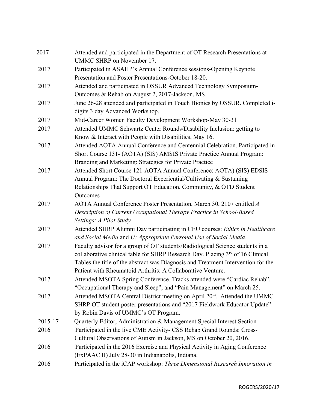| 2017    | Attended and participated in the Department of OT Research Presentations at<br>UMMC SHRP on November 17.                                             |
|---------|------------------------------------------------------------------------------------------------------------------------------------------------------|
| 2017    | Participated in ASAHP's Annual Conference sessions-Opening Keynote<br>Presentation and Poster Presentations-October 18-20.                           |
| 2017    | Attended and participated in OSSUR Advanced Technology Symposium-                                                                                    |
| 2017    | Outcomes & Rehab on August 2, 2017-Jackson, MS.<br>June 26-28 attended and participated in Touch Bionics by OSSUR. Completed i-                      |
|         | digits 3 day Advanced Workshop.                                                                                                                      |
| 2017    | Mid-Career Women Faculty Development Workshop-May 30-31                                                                                              |
| 2017    | Attended UMMC Schwartz Center Rounds/Disability Inclusion: getting to<br>Know & Interact with People with Disabilities, May 16.                      |
| 2017    | Attended AOTA Annual Conference and Centennial Celebration. Participated in<br>Short Course 131- (AOTA) (SIS) AMSIS Private Practice Annual Program: |
|         | Branding and Marketing: Strategies for Private Practice                                                                                              |
| 2017    | Attended Short Course 121-AOTA Annual Conference: AOTA) (SIS) EDSIS                                                                                  |
|         | Annual Program: The Doctoral Experiential/Cultivating & Sustaining                                                                                   |
|         | Relationships That Support OT Education, Community, & OTD Student                                                                                    |
|         | Outcomes                                                                                                                                             |
| 2017    | AOTA Annual Conference Poster Presentation, March 30, 2107 entitled A                                                                                |
|         | Description of Current Occupational Therapy Practice in School-Based<br>Settings: A Pilot Study                                                      |
| 2017    | Attended SHRP Alumni Day participating in CEU courses: Ethics in Healthcare                                                                          |
|         | and Social Media and U: Appropriate Personal Use of Social Media.                                                                                    |
| 2017    | Faculty advisor for a group of OT students/Radiological Science students in a                                                                        |
|         | collaborative clinical table for SHRP Research Day. Placing 3 <sup>rd</sup> of 16 Clinical                                                           |
|         | Tables the title of the abstract was Diagnosis and Treatment Intervention for the                                                                    |
|         | Patient with Rheumatoid Arthritis: A Collaborative Venture.                                                                                          |
| 2017    | Attended MSOTA Spring Conference. Tracks attended were "Cardiac Rehab",                                                                              |
|         | "Occupational Therapy and Sleep", and "Pain Management" on March 25.                                                                                 |
| 2017    | Attended MSOTA Central District meeting on April 20 <sup>th</sup> . Attended the UMMC                                                                |
|         | SHRP OT student poster presentations and "2017 Fieldwork Educator Update"                                                                            |
|         | by Robin Davis of UMMC's OT Program.                                                                                                                 |
| 2015-17 | Quarterly Editor, Administration & Management Special Interest Section                                                                               |
| 2016    | Participated in the live CME Activity- CSS Rehab Grand Rounds: Cross-                                                                                |
|         | Cultural Observations of Autism in Jackson, MS on October 20, 2016.                                                                                  |
| 2016    | Participated in the 2016 Exercise and Physical Activity in Aging Conference                                                                          |
|         | (ExPAAC II) July 28-30 in Indianapolis, Indiana.                                                                                                     |
| 2016    | Participated in the iCAP workshop: Three Dimensional Research Innovation in                                                                          |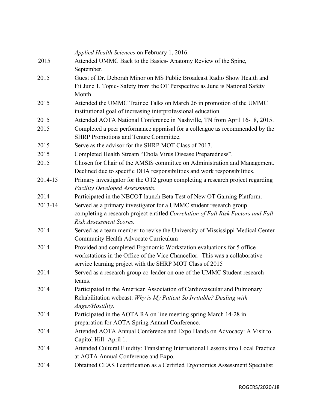|         | <i>Applied Health Sciences</i> on February 1, 2016.                                                                                   |
|---------|---------------------------------------------------------------------------------------------------------------------------------------|
| 2015    | Attended UMMC Back to the Basics-Anatomy Review of the Spine,                                                                         |
| 2015    | September.<br>Guest of Dr. Deborah Minor on MS Public Broadcast Radio Show Health and                                                 |
|         | Fit June 1. Topic- Safety from the OT Perspective as June is National Safety<br>Month.                                                |
| 2015    | Attended the UMMC Trainee Talks on March 26 in promotion of the UMMC<br>institutional goal of increasing interprofessional education. |
| 2015    | Attended AOTA National Conference in Nashville, TN from April 16-18, 2015.                                                            |
| 2015    | Completed a peer performance appraisal for a colleague as recommended by the<br><b>SHRP Promotions and Tenure Committee.</b>          |
| 2015    | Serve as the advisor for the SHRP MOT Class of 2017.                                                                                  |
| 2015    | Completed Health Stream "Ebola Virus Disease Preparedness".                                                                           |
| 2015    | Chosen for Chair of the AMSIS committee on Administration and Management.                                                             |
|         | Declined due to specific DHA responsibilities and work responsibilities.                                                              |
| 2014-15 | Primary investigator for the OT2 group completing a research project regarding<br>Facility Developed Assessments.                     |
| 2014    | Participated in the NBCOT launch Beta Test of New OT Gaming Platform.                                                                 |
| 2013-14 | Served as a primary investigator for a UMMC student research group                                                                    |
|         | completing a research project entitled Correlation of Fall Risk Factors and Fall                                                      |
|         | Risk Assessment Scores.                                                                                                               |
| 2014    | Served as a team member to revise the University of Mississippi Medical Center                                                        |
|         | Community Health Advocate Curriculum                                                                                                  |
| 2014    | Provided and completed Ergonomic Workstation evaluations for 5 office                                                                 |
|         | workstations in the Office of the Vice Chancellor. This was a collaborative                                                           |
|         | service learning project with the SHRP MOT Class of 2015                                                                              |
| 2014    | Served as a research group co-leader on one of the UMMC Student research<br>teams.                                                    |
| 2014    | Participated in the American Association of Cardiovascular and Pulmonary                                                              |
|         | Rehabilitation webcast: Why is My Patient So Irritable? Dealing with                                                                  |
|         | Anger/Hostility.                                                                                                                      |
| 2014    | Participated in the AOTA RA on line meeting spring March 14-28 in<br>preparation for AOTA Spring Annual Conference.                   |
| 2014    | Attended AOTA Annual Conference and Expo Hands on Advocacy: A Visit to                                                                |
|         | Capitol Hill-April 1.                                                                                                                 |
| 2014    | Attended Cultural Fluidity: Translating International Lessons into Local Practice<br>at AOTA Annual Conference and Expo.              |
| 2014    | Obtained CEAS I certification as a Certified Ergonomics Assessment Specialist                                                         |
|         |                                                                                                                                       |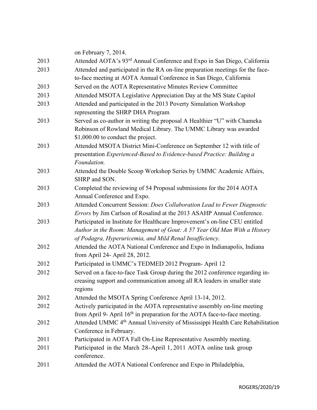|      | on February 7, 2014.                                                                      |
|------|-------------------------------------------------------------------------------------------|
| 2013 | Attended AOTA's 93 <sup>rd</sup> Annual Conference and Expo in San Diego, California      |
| 2013 | Attended and participated in the RA on-line preparation meetings for the face-            |
|      | to-face meeting at AOTA Annual Conference in San Diego, California                        |
| 2013 | Served on the AOTA Representative Minutes Review Committee                                |
| 2013 | Attended MSOTA Legislative Appreciation Day at the MS State Capitol                       |
| 2013 | Attended and participated in the 2013 Poverty Simulation Workshop                         |
|      | representing the SHRP DHA Program                                                         |
| 2013 | Served as co-author in writing the proposal A Healthier "U" with Chameka                  |
|      | Robinson of Rowland Medical Library. The UMMC Library was awarded                         |
|      | \$1,000.00 to conduct the project.                                                        |
| 2013 | Attended MSOTA District Mini-Conference on September 12 with title of                     |
|      | presentation Experienced-Based to Evidence-based Practice: Building a                     |
|      | Foundation.                                                                               |
| 2013 | Attended the Double Scoop Workshop Series by UMMC Academic Affairs,                       |
|      | SHRP and SON.                                                                             |
| 2013 | Completed the reviewing of 54 Proposal submissions for the 2014 AOTA                      |
|      | Annual Conference and Expo.                                                               |
| 2013 | Attended Concurrent Session: Does Collaboration Lead to Fewer Diagnostic                  |
|      | Errors by Jim Carlson of Rosalind at the 2013 ASAHP Annual Conference.                    |
| 2013 | Participated in Institute for Healthcare Improvement's on-line CEU entitled               |
|      | Author in the Room: Management of Gout: A 57 Year Old Man With a History                  |
|      | of Podagra, Hyperuricemia, and Mild Renal Insufficiency.                                  |
| 2012 | Attended the AOTA National Conference and Expo in Indianapolis, Indiana                   |
|      | from April 24- April 28, 2012.                                                            |
| 2012 | Participated in UMMC's TEDMED 2012 Program- April 12                                      |
| 2012 | Served on a face-to-face Task Group during the 2012 conference regarding in-              |
|      | creasing support and communication among all RA leaders in smaller state                  |
|      | regions                                                                                   |
| 2012 | Attended the MSOTA Spring Conference April 13-14, 2012.                                   |
| 2012 | Actively participated in the AOTA representative assembly on-line meeting                 |
|      | from April 9- April $16th$ in preparation for the AOTA face-to-face meeting.              |
| 2012 | Attended UMMC 4 <sup>th</sup> Annual University of Mississippi Health Care Rehabilitation |
|      | Conference in February.                                                                   |
| 2011 | Participated in AOTA Fall On-Line Representative Assembly meeting.                        |
| 2011 | Participated in the March 28-April 1, 2011 AOTA online task group                         |
|      | conference.                                                                               |
| 2011 | Attended the AOTA National Conference and Expo in Philadelphia,                           |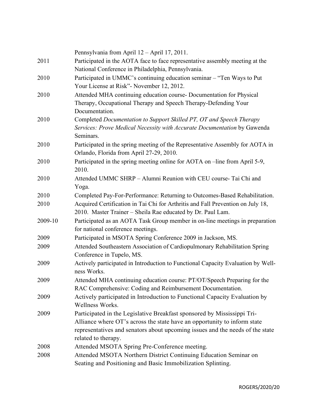|         | Pennsylvania from April 12 - April 17, 2011.                                                                                       |
|---------|------------------------------------------------------------------------------------------------------------------------------------|
| 2011    | Participated in the AOTA face to face representative assembly meeting at the<br>National Conference in Philadelphia, Pennsylvania. |
| 2010    | Participated in UMMC's continuing education seminar - "Ten Ways to Put                                                             |
|         | Your License at Risk"- November 12, 2012.                                                                                          |
| 2010    | Attended MHA continuing education course- Documentation for Physical                                                               |
|         | Therapy, Occupational Therapy and Speech Therapy-Defending Your                                                                    |
|         | Documentation.                                                                                                                     |
| 2010    | Completed Documentation to Support Skilled PT, OT and Speech Therapy                                                               |
|         | Services: Prove Medical Necessity with Accurate Documentation by Gawenda                                                           |
|         | Seminars.                                                                                                                          |
| 2010    | Participated in the spring meeting of the Representative Assembly for AOTA in                                                      |
|         | Orlando, Florida from April 27-29, 2010.                                                                                           |
| 2010    | Participated in the spring meeting online for AOTA on -line from April 5-9,                                                        |
|         | 2010.                                                                                                                              |
| 2010    | Attended UMMC SHRP - Alumni Reunion with CEU course- Tai Chi and                                                                   |
|         | Yoga.                                                                                                                              |
| 2010    | Completed Pay-For-Performance: Returning to Outcomes-Based Rehabilitation.                                                         |
| 2010    | Acquired Certification in Tai Chi for Arthritis and Fall Prevention on July 18,                                                    |
|         | 2010. Master Trainer - Sheila Rae educated by Dr. Paul Lam.                                                                        |
| 2009-10 | Participated as an AOTA Task Group member in on-line meetings in preparation                                                       |
|         | for national conference meetings.                                                                                                  |
| 2009    | Participated in MSOTA Spring Conference 2009 in Jackson, MS.                                                                       |
| 2009    | Attended Southeastern Association of Cardiopulmonary Rehabilitation Spring                                                         |
|         | Conference in Tupelo, MS.                                                                                                          |
| 2009    | Actively participated in Introduction to Functional Capacity Evaluation by Well-                                                   |
|         | ness Works.                                                                                                                        |
| 2009    | Attended MHA continuing education course: PT/OT/Speech Preparing for the                                                           |
|         | RAC Comprehensive: Coding and Reimbursement Documentation.                                                                         |
| 2009    | Actively participated in Introduction to Functional Capacity Evaluation by                                                         |
|         | Wellness Works.                                                                                                                    |
| 2009    | Participated in the Legislative Breakfast sponsored by Mississippi Tri-                                                            |
|         | Alliance where OT's across the state have an opportunity to inform state                                                           |
|         | representatives and senators about upcoming issues and the needs of the state                                                      |
|         | related to therapy.                                                                                                                |
| 2008    | Attended MSOTA Spring Pre-Conference meeting.                                                                                      |
| 2008    | Attended MSOTA Northern District Continuing Education Seminar on                                                                   |
|         | Seating and Positioning and Basic Immobilization Splinting.                                                                        |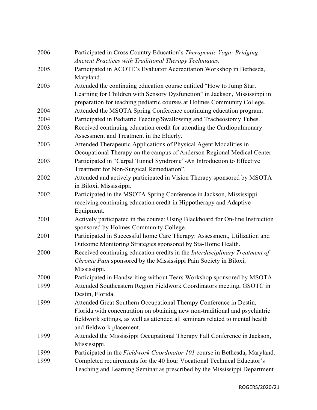| 2006 | Participated in Cross Country Education's Therapeutic Yoga: Bridging<br>Ancient Practices with Traditional Therapy Techniques.                                                                                                                                 |
|------|----------------------------------------------------------------------------------------------------------------------------------------------------------------------------------------------------------------------------------------------------------------|
| 2005 | Participated in ACOTE's Evaluator Accreditation Workshop in Bethesda,<br>Maryland.                                                                                                                                                                             |
| 2005 | Attended the continuing education course entitled "How to Jump Start<br>Learning for Children with Sensory Dysfunction" in Jackson, Mississippi in<br>preparation for teaching pediatric courses at Holmes Community College.                                  |
| 2004 | Attended the MSOTA Spring Conference continuing education program.                                                                                                                                                                                             |
| 2004 | Participated in Pediatric Feeding/Swallowing and Tracheostomy Tubes.                                                                                                                                                                                           |
| 2003 | Received continuing education credit for attending the Cardiopulmonary<br>Assessment and Treatment in the Elderly.                                                                                                                                             |
| 2003 | Attended Therapeutic Applications of Physical Agent Modalities in<br>Occupational Therapy on the campus of Anderson Regional Medical Center.                                                                                                                   |
| 2003 | Participated in "Carpal Tunnel Syndrome"-An Introduction to Effective<br>Treatment for Non-Surgical Remediation".                                                                                                                                              |
| 2002 | Attended and actively participated in Vision Therapy sponsored by MSOTA<br>in Biloxi, Mississippi.                                                                                                                                                             |
| 2002 | Participated in the MSOTA Spring Conference in Jackson, Mississippi<br>receiving continuing education credit in Hippotherapy and Adaptive<br>Equipment.                                                                                                        |
| 2001 | Actively participated in the course: Using Blackboard for On-line Instruction<br>sponsored by Holmes Community College.                                                                                                                                        |
| 2001 | Participated in Successful home Care Therapy: Assessment, Utilization and<br>Outcome Monitoring Strategies sponsored by Sta-Home Health.                                                                                                                       |
| 2000 | Received continuing education credits in the Interdisciplinary Treatment of<br>Chronic Pain sponsored by the Mississippi Pain Society in Biloxi,<br>Mississippi.                                                                                               |
| 2000 | Participated in Handwriting without Tears Workshop sponsored by MSOTA.                                                                                                                                                                                         |
| 1999 | Attended Southeastern Region Fieldwork Coordinators meeting, GSOTC in<br>Destin, Florida.                                                                                                                                                                      |
| 1999 | Attended Great Southern Occupational Therapy Conference in Destin,<br>Florida with concentration on obtaining new non-traditional and psychiatric<br>fieldwork settings, as well as attended all seminars related to mental health<br>and fieldwork placement. |
| 1999 | Attended the Mississippi Occupational Therapy Fall Conference in Jackson,<br>Mississippi.                                                                                                                                                                      |
| 1999 | Participated in the Fieldwork Coordinator 101 course in Bethesda, Maryland.                                                                                                                                                                                    |
| 1999 | Completed requirements for the 40 hour Vocational Technical Educator's<br>Teaching and Learning Seminar as prescribed by the Mississippi Department                                                                                                            |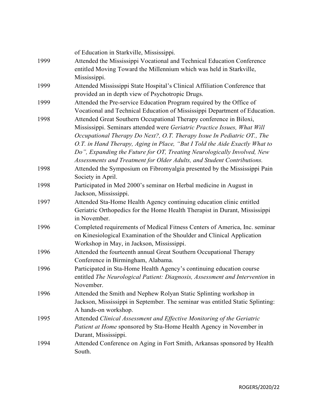|      | of Education in Starkville, Mississippi.                                      |
|------|-------------------------------------------------------------------------------|
| 1999 | Attended the Mississippi Vocational and Technical Education Conference        |
|      | entitled Moving Toward the Millennium which was held in Starkville,           |
|      | Mississippi.                                                                  |
| 1999 | Attended Mississippi State Hospital's Clinical Affiliation Conference that    |
|      | provided an in depth view of Psychotropic Drugs.                              |
| 1999 | Attended the Pre-service Education Program required by the Office of          |
|      | Vocational and Technical Education of Mississippi Department of Education.    |
| 1998 | Attended Great Southern Occupational Therapy conference in Biloxi,            |
|      | Mississippi. Seminars attended were Geriatric Practice Issues, What Will      |
|      | Occupational Therapy Do Next?, O.T. Therapy Issue In Pediatric OT., The       |
|      | O.T. in Hand Therapy, Aging in Place, "But I Told the Aide Exactly What to    |
|      | Do", Expanding the Future for OT, Treating Neurologically Involved, New       |
|      | Assessments and Treatment for Older Adults, and Student Contributions.        |
| 1998 | Attended the Symposium on Fibromyalgia presented by the Mississippi Pain      |
|      | Society in April.                                                             |
| 1998 | Participated in Med 2000's seminar on Herbal medicine in August in            |
|      | Jackson, Mississippi.                                                         |
| 1997 | Attended Sta-Home Health Agency continuing education clinic entitled          |
|      | Geriatric Orthopedics for the Home Health Therapist in Durant, Mississippi    |
|      | in November.                                                                  |
| 1996 | Completed requirements of Medical Fitness Centers of America, Inc. seminar    |
|      | on Kinesiological Examination of the Shoulder and Clinical Application        |
|      | Workshop in May, in Jackson, Mississippi.                                     |
| 1996 | Attended the fourteenth annual Great Southern Occupational Therapy            |
|      | Conference in Birmingham, Alabama.                                            |
| 1996 | Participated in Sta-Home Health Agency's continuing education course          |
|      | entitled The Neurological Patient: Diagnosis, Assessment and Intervention in  |
|      | November.                                                                     |
| 1996 | Attended the Smith and Nephew Rolyan Static Splinting workshop in             |
|      | Jackson, Mississippi in September. The seminar was entitled Static Splinting: |
|      | A hands-on workshop.                                                          |
| 1995 | Attended Clinical Assessment and Effective Monitoring of the Geriatric        |
|      | Patient at Home sponsored by Sta-Home Health Agency in November in            |
|      | Durant, Mississippi.                                                          |
| 1994 | Attended Conference on Aging in Fort Smith, Arkansas sponsored by Health      |
|      | South.                                                                        |